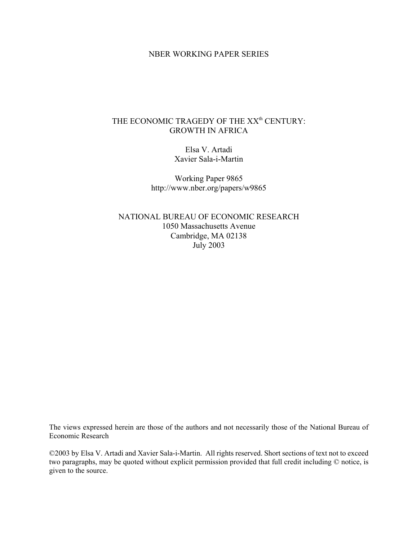## NBER WORKING PAPER SERIES

# THE ECONOMIC TRAGEDY OF THE XX<sup>th</sup> CENTURY: GROWTH IN AFRICA

Elsa V. Artadi Xavier Sala-i-Martin

Working Paper 9865 http://www.nber.org/papers/w9865

NATIONAL BUREAU OF ECONOMIC RESEARCH 1050 Massachusetts Avenue Cambridge, MA 02138 July 2003

The views expressed herein are those of the authors and not necessarily those of the National Bureau of Economic Research

©2003 by Elsa V. Artadi and Xavier Sala-i-Martin. All rights reserved. Short sections of text not to exceed two paragraphs, may be quoted without explicit permission provided that full credit including © notice, is given to the source.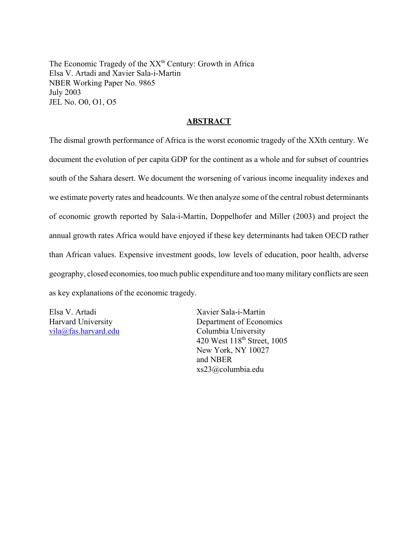The Economic Tragedy of the XX<sup>th</sup> Century: Growth in Africa Elsa V. Artadi and Xavier Sala-i-Martin NBER Working Paper No. 9865 July 2003 JEL No. O0, O1, O5

## **ABSTRACT**

The dismal growth performance of Africa is the worst economic tragedy of the XXth century. We document the evolution of per capita GDP for the continent as a whole and for subset of countries south of the Sahara desert. We document the worsening of various income inequality indexes and we estimate poverty rates and headcounts. We then analyze some of the central robust determinants of economic growth reported by Sala-i-Martin, Doppelhofer and Miller (2003) and project the annual growth rates Africa would have enjoyed if these key determinants had taken OECD rather than African values. Expensive investment goods, low levels of education, poor health, adverse geography, closed economies, too much public expenditure and too many military conflicts are seen as key explanations of the economic tragedy.

Elsa V. Artadi Xavier Sala-i-Martin Harvard University Department of Economics vila@fas.harvard.edu Columbia University 420 West 118th Street, 1005 New York, NY 10027 and NBER xs23@columbia.edu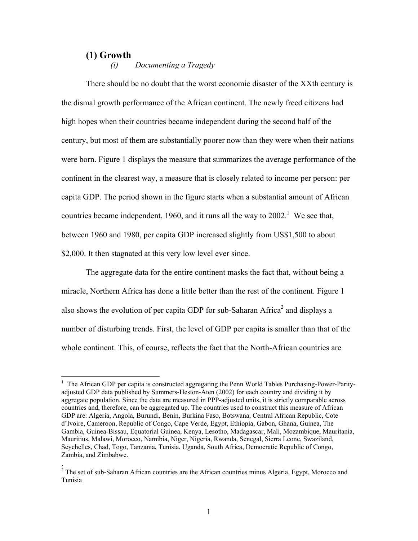#### **(1) Growth**

*(i) Documenting a Tragedy* 

There should be no doubt that the worst economic disaster of the XXth century is the dismal growth performance of the African continent. The newly freed citizens had high hopes when their countries became independent during the second half of the century, but most of them are substantially poorer now than they were when their nations were born. Figure 1 displays the measure that summarizes the average performance of the continent in the clearest way, a measure that is closely related to income per person: per capita GDP. The period shown in the figure starts when a substantial amount of African countries became independent, 1960, and it runs all the way to  $2002$ <sup>1</sup>. We see that, between 1960 and 1980, per capita GDP increased slightly from US\$1,500 to about \$2,000. It then stagnated at this very low level ever since.

The aggregate data for the entire continent masks the fact that, without being a miracle, Northern Africa has done a little better than the rest of the continent. Figure 1 also shows the evolution of per capita GDP for sub-Saharan Africa<sup>2</sup> and displays a number of disturbing trends. First, the level of GDP per capita is smaller than that of the whole continent. This, of course, reflects the fact that the North-African countries are

The African GDP per capita is constructed aggregating the Penn World Tables Purchasing-Power-Parityadjusted GDP data published by Summers-Heston-Aten (2002) for each country and dividing it by aggregate population. Since the data are measured in PPP-adjusted units, it is strictly comparable across countries and, therefore, can be aggregated up. The countries used to construct this measure of African GDP are: Algeria, Angola, Burundi, Benin, Burkina Faso, Botswana, Central African Republic, Cote d'Ivoire, Cameroon, Republic of Congo, Cape Verde, Egypt, Ethiopia, Gabon, Ghana, Guinea, The Gambia, Guinea-Bissau, Equatorial Guinea, Kenya, Lesotho, Madagascar, Mali, Mozambique, Mauritania, Mauritius, Malawi, Morocco, Namibia, Niger, Nigeria, Rwanda, Senegal, Sierra Leone, Swaziland, Seychelles, Chad, Togo, Tanzania, Tunisia, Uganda, South Africa, Democratic Republic of Congo, Zambia, and Zimbabwe.

<sup>.&</sup>lt;br><sup>2</sup> The set of sub-Saharan African countries are the African countries minus Algeria, Egypt, Morocco and Tunisia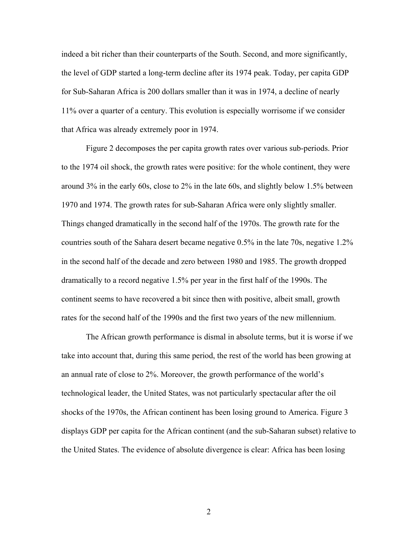indeed a bit richer than their counterparts of the South. Second, and more significantly, the level of GDP started a long-term decline after its 1974 peak. Today, per capita GDP for Sub-Saharan Africa is 200 dollars smaller than it was in 1974, a decline of nearly 11% over a quarter of a century. This evolution is especially worrisome if we consider that Africa was already extremely poor in 1974.

Figure 2 decomposes the per capita growth rates over various sub-periods. Prior to the 1974 oil shock, the growth rates were positive: for the whole continent, they were around 3% in the early 60s, close to 2% in the late 60s, and slightly below 1.5% between 1970 and 1974. The growth rates for sub-Saharan Africa were only slightly smaller. Things changed dramatically in the second half of the 1970s. The growth rate for the countries south of the Sahara desert became negative 0.5% in the late 70s, negative 1.2% in the second half of the decade and zero between 1980 and 1985. The growth dropped dramatically to a record negative 1.5% per year in the first half of the 1990s. The continent seems to have recovered a bit since then with positive, albeit small, growth rates for the second half of the 1990s and the first two years of the new millennium.

The African growth performance is dismal in absolute terms, but it is worse if we take into account that, during this same period, the rest of the world has been growing at an annual rate of close to 2%. Moreover, the growth performance of the world's technological leader, the United States, was not particularly spectacular after the oil shocks of the 1970s, the African continent has been losing ground to America. Figure 3 displays GDP per capita for the African continent (and the sub-Saharan subset) relative to the United States. The evidence of absolute divergence is clear: Africa has been losing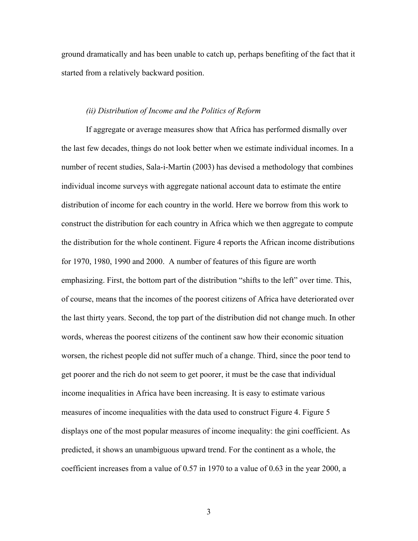ground dramatically and has been unable to catch up, perhaps benefiting of the fact that it started from a relatively backward position.

#### *(ii) Distribution of Income and the Politics of Reform*

If aggregate or average measures show that Africa has performed dismally over the last few decades, things do not look better when we estimate individual incomes. In a number of recent studies, Sala-i-Martin (2003) has devised a methodology that combines individual income surveys with aggregate national account data to estimate the entire distribution of income for each country in the world. Here we borrow from this work to construct the distribution for each country in Africa which we then aggregate to compute the distribution for the whole continent. Figure 4 reports the African income distributions for 1970, 1980, 1990 and 2000. A number of features of this figure are worth emphasizing. First, the bottom part of the distribution "shifts to the left" over time. This, of course, means that the incomes of the poorest citizens of Africa have deteriorated over the last thirty years. Second, the top part of the distribution did not change much. In other words, whereas the poorest citizens of the continent saw how their economic situation worsen, the richest people did not suffer much of a change. Third, since the poor tend to get poorer and the rich do not seem to get poorer, it must be the case that individual income inequalities in Africa have been increasing. It is easy to estimate various measures of income inequalities with the data used to construct Figure 4. Figure 5 displays one of the most popular measures of income inequality: the gini coefficient. As predicted, it shows an unambiguous upward trend. For the continent as a whole, the coefficient increases from a value of 0.57 in 1970 to a value of 0.63 in the year 2000, a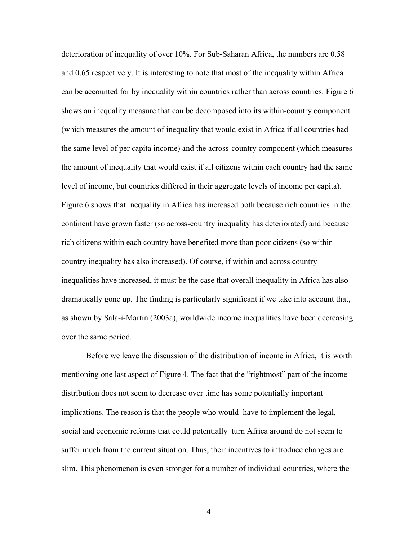deterioration of inequality of over 10%. For Sub-Saharan Africa, the numbers are 0.58 and 0.65 respectively. It is interesting to note that most of the inequality within Africa can be accounted for by inequality within countries rather than across countries. Figure 6 shows an inequality measure that can be decomposed into its within-country component (which measures the amount of inequality that would exist in Africa if all countries had the same level of per capita income) and the across-country component (which measures the amount of inequality that would exist if all citizens within each country had the same level of income, but countries differed in their aggregate levels of income per capita). Figure 6 shows that inequality in Africa has increased both because rich countries in the continent have grown faster (so across-country inequality has deteriorated) and because rich citizens within each country have benefited more than poor citizens (so withincountry inequality has also increased). Of course, if within and across country inequalities have increased, it must be the case that overall inequality in Africa has also dramatically gone up. The finding is particularly significant if we take into account that, as shown by Sala-i-Martin (2003a), worldwide income inequalities have been decreasing over the same period.

Before we leave the discussion of the distribution of income in Africa, it is worth mentioning one last aspect of Figure 4. The fact that the "rightmost" part of the income distribution does not seem to decrease over time has some potentially important implications. The reason is that the people who would have to implement the legal, social and economic reforms that could potentially turn Africa around do not seem to suffer much from the current situation. Thus, their incentives to introduce changes are slim. This phenomenon is even stronger for a number of individual countries, where the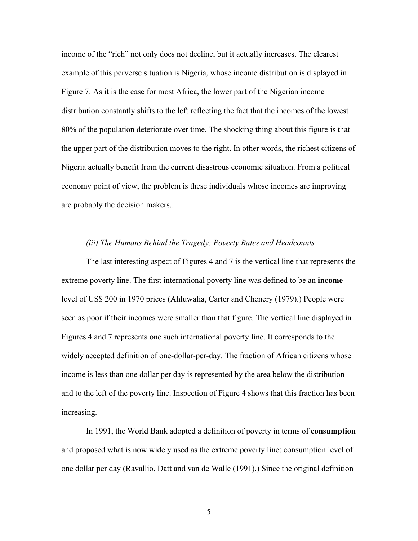income of the "rich" not only does not decline, but it actually increases. The clearest example of this perverse situation is Nigeria, whose income distribution is displayed in Figure 7. As it is the case for most Africa, the lower part of the Nigerian income distribution constantly shifts to the left reflecting the fact that the incomes of the lowest 80% of the population deteriorate over time. The shocking thing about this figure is that the upper part of the distribution moves to the right. In other words, the richest citizens of Nigeria actually benefit from the current disastrous economic situation. From a political economy point of view, the problem is these individuals whose incomes are improving are probably the decision makers..

#### *(iii) The Humans Behind the Tragedy: Poverty Rates and Headcounts*

The last interesting aspect of Figures 4 and 7 is the vertical line that represents the extreme poverty line. The first international poverty line was defined to be an **income** level of US\$ 200 in 1970 prices (Ahluwalia, Carter and Chenery (1979).) People were seen as poor if their incomes were smaller than that figure. The vertical line displayed in Figures 4 and 7 represents one such international poverty line. It corresponds to the widely accepted definition of one-dollar-per-day. The fraction of African citizens whose income is less than one dollar per day is represented by the area below the distribution and to the left of the poverty line. Inspection of Figure 4 shows that this fraction has been increasing.

In 1991, the World Bank adopted a definition of poverty in terms of **consumption** and proposed what is now widely used as the extreme poverty line: consumption level of one dollar per day (Ravallio, Datt and van de Walle (1991).) Since the original definition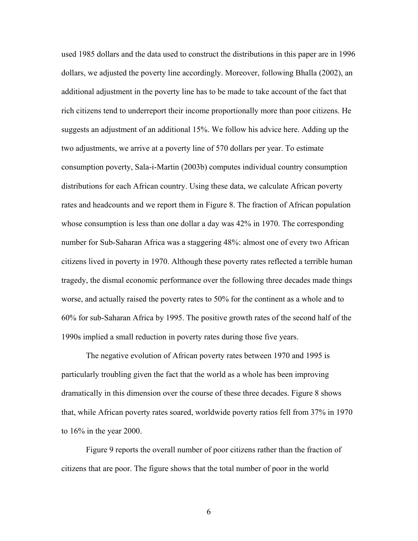used 1985 dollars and the data used to construct the distributions in this paper are in 1996 dollars, we adjusted the poverty line accordingly. Moreover, following Bhalla (2002), an additional adjustment in the poverty line has to be made to take account of the fact that rich citizens tend to underreport their income proportionally more than poor citizens. He suggests an adjustment of an additional 15%. We follow his advice here. Adding up the two adjustments, we arrive at a poverty line of 570 dollars per year. To estimate consumption poverty, Sala-i-Martin (2003b) computes individual country consumption distributions for each African country. Using these data, we calculate African poverty rates and headcounts and we report them in Figure 8. The fraction of African population whose consumption is less than one dollar a day was 42% in 1970. The corresponding number for Sub-Saharan Africa was a staggering 48%: almost one of every two African citizens lived in poverty in 1970. Although these poverty rates reflected a terrible human tragedy, the dismal economic performance over the following three decades made things worse, and actually raised the poverty rates to 50% for the continent as a whole and to 60% for sub-Saharan Africa by 1995. The positive growth rates of the second half of the 1990s implied a small reduction in poverty rates during those five years.

The negative evolution of African poverty rates between 1970 and 1995 is particularly troubling given the fact that the world as a whole has been improving dramatically in this dimension over the course of these three decades. Figure 8 shows that, while African poverty rates soared, worldwide poverty ratios fell from 37% in 1970 to 16% in the year 2000.

Figure 9 reports the overall number of poor citizens rather than the fraction of citizens that are poor. The figure shows that the total number of poor in the world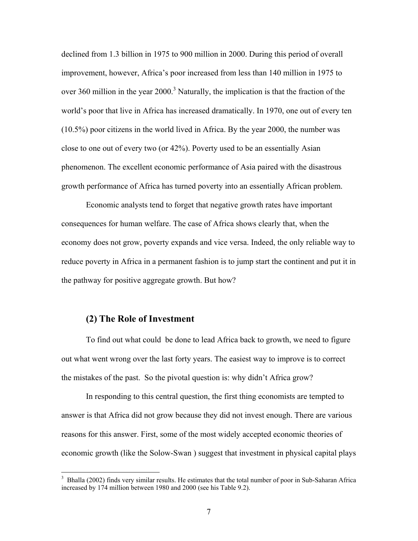declined from 1.3 billion in 1975 to 900 million in 2000. During this period of overall improvement, however, Africa's poor increased from less than 140 million in 1975 to over 360 million in the year  $2000$ <sup>3</sup> Naturally, the implication is that the fraction of the world's poor that live in Africa has increased dramatically. In 1970, one out of every ten (10.5%) poor citizens in the world lived in Africa. By the year 2000, the number was close to one out of every two (or 42%). Poverty used to be an essentially Asian phenomenon. The excellent economic performance of Asia paired with the disastrous growth performance of Africa has turned poverty into an essentially African problem.

Economic analysts tend to forget that negative growth rates have important consequences for human welfare. The case of Africa shows clearly that, when the economy does not grow, poverty expands and vice versa. Indeed, the only reliable way to reduce poverty in Africa in a permanent fashion is to jump start the continent and put it in the pathway for positive aggregate growth. But how?

## **(2) The Role of Investment**

To find out what could be done to lead Africa back to growth, we need to figure out what went wrong over the last forty years. The easiest way to improve is to correct the mistakes of the past. So the pivotal question is: why didn't Africa grow?

In responding to this central question, the first thing economists are tempted to answer is that Africa did not grow because they did not invest enough. There are various reasons for this answer. First, some of the most widely accepted economic theories of economic growth (like the Solow-Swan ) suggest that investment in physical capital plays

<sup>&</sup>lt;sup>3</sup> Bhalla (2002) finds very similar results. He estimates that the total number of poor in Sub-Saharan Africa increased by 174 million between 1980 and 2000 (see his Table 9.2).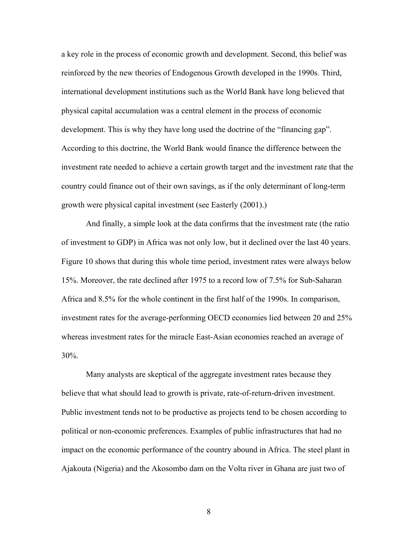a key role in the process of economic growth and development. Second, this belief was reinforced by the new theories of Endogenous Growth developed in the 1990s. Third, international development institutions such as the World Bank have long believed that physical capital accumulation was a central element in the process of economic development. This is why they have long used the doctrine of the "financing gap". According to this doctrine, the World Bank would finance the difference between the investment rate needed to achieve a certain growth target and the investment rate that the country could finance out of their own savings, as if the only determinant of long-term growth were physical capital investment (see Easterly (2001).)

And finally, a simple look at the data confirms that the investment rate (the ratio of investment to GDP) in Africa was not only low, but it declined over the last 40 years. Figure 10 shows that during this whole time period, investment rates were always below 15%. Moreover, the rate declined after 1975 to a record low of 7.5% for Sub-Saharan Africa and 8.5% for the whole continent in the first half of the 1990s. In comparison, investment rates for the average-performing OECD economies lied between 20 and 25% whereas investment rates for the miracle East-Asian economies reached an average of 30%.

Many analysts are skeptical of the aggregate investment rates because they believe that what should lead to growth is private, rate-of-return-driven investment. Public investment tends not to be productive as projects tend to be chosen according to political or non-economic preferences. Examples of public infrastructures that had no impact on the economic performance of the country abound in Africa. The steel plant in Ajakouta (Nigeria) and the Akosombo dam on the Volta river in Ghana are just two of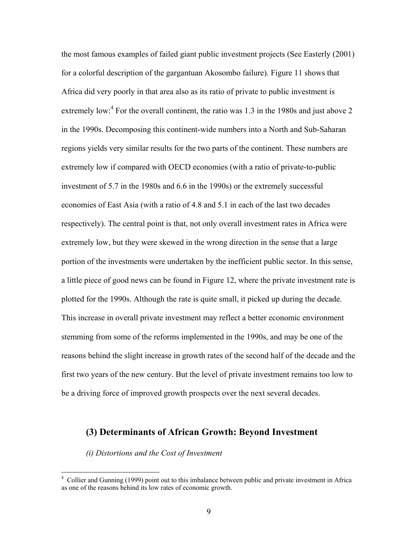the most famous examples of failed giant public investment projects (See Easterly (2001) for a colorful description of the gargantuan Akosombo failure). Figure 11 shows that Africa did very poorly in that area also as its ratio of private to public investment is extremely low: $4$  For the overall continent, the ratio was 1.3 in the 1980s and just above 2 in the 1990s. Decomposing this continent-wide numbers into a North and Sub-Saharan regions yields very similar results for the two parts of the continent. These numbers are extremely low if compared with OECD economies (with a ratio of private-to-public investment of 5.7 in the 1980s and 6.6 in the 1990s) or the extremely successful economies of East Asia (with a ratio of 4.8 and 5.1 in each of the last two decades respectively). The central point is that, not only overall investment rates in Africa were extremely low, but they were skewed in the wrong direction in the sense that a large portion of the investments were undertaken by the inefficient public sector. In this sense, a little piece of good news can be found in Figure 12, where the private investment rate is plotted for the 1990s. Although the rate is quite small, it picked up during the decade. This increase in overall private investment may reflect a better economic environment stemming from some of the reforms implemented in the 1990s, and may be one of the reasons behind the slight increase in growth rates of the second half of the decade and the first two years of the new century. But the level of private investment remains too low to be a driving force of improved growth prospects over the next several decades.

# **(3) Determinants of African Growth: Beyond Investment**

*(i) Distortions and the Cost of Investment* 

<sup>&</sup>lt;sup>4</sup> Collier and Gunning (1999) point out to this imbalance between public and private investment in Africa as one of the reasons behind its low rates of economic growth.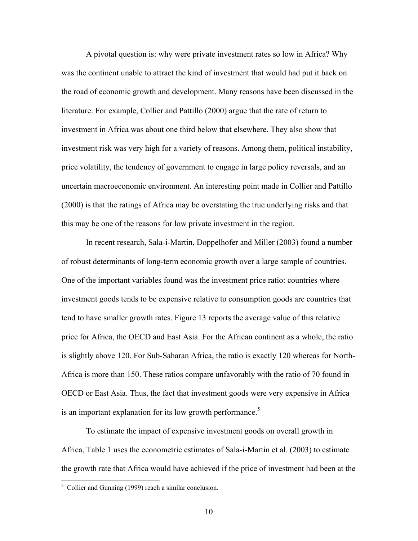A pivotal question is: why were private investment rates so low in Africa? Why was the continent unable to attract the kind of investment that would had put it back on the road of economic growth and development. Many reasons have been discussed in the literature. For example, Collier and Pattillo (2000) argue that the rate of return to investment in Africa was about one third below that elsewhere. They also show that investment risk was very high for a variety of reasons. Among them, political instability, price volatility, the tendency of government to engage in large policy reversals, and an uncertain macroeconomic environment. An interesting point made in Collier and Pattillo (2000) is that the ratings of Africa may be overstating the true underlying risks and that this may be one of the reasons for low private investment in the region.

In recent research, Sala-i-Martin, Doppelhofer and Miller (2003) found a number of robust determinants of long-term economic growth over a large sample of countries. One of the important variables found was the investment price ratio: countries where investment goods tends to be expensive relative to consumption goods are countries that tend to have smaller growth rates. Figure 13 reports the average value of this relative price for Africa, the OECD and East Asia. For the African continent as a whole, the ratio is slightly above 120. For Sub-Saharan Africa, the ratio is exactly 120 whereas for North-Africa is more than 150. These ratios compare unfavorably with the ratio of 70 found in OECD or East Asia. Thus, the fact that investment goods were very expensive in Africa is an important explanation for its low growth performance.<sup>5</sup>

To estimate the impact of expensive investment goods on overall growth in Africa, Table 1 uses the econometric estimates of Sala-i-Martin et al. (2003) to estimate the growth rate that Africa would have achieved if the price of investment had been at the

<sup>&</sup>lt;sup>5</sup> Collier and Gunning (1999) reach a similar conclusion.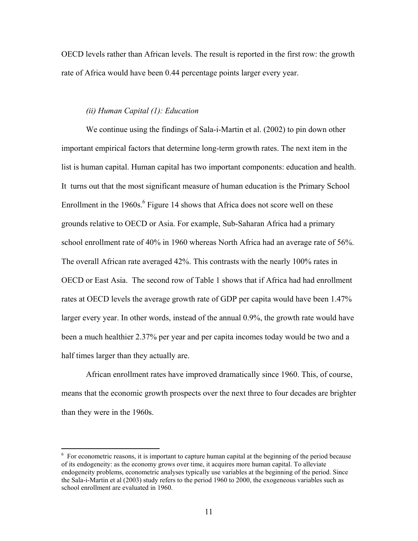OECD levels rather than African levels. The result is reported in the first row: the growth rate of Africa would have been 0.44 percentage points larger every year.

#### *(ii) Human Capital (1): Education*

We continue using the findings of Sala-i-Martin et al. (2002) to pin down other important empirical factors that determine long-term growth rates. The next item in the list is human capital. Human capital has two important components: education and health. It turns out that the most significant measure of human education is the Primary School Enrollment in the  $1960s$ .<sup>6</sup> Figure 14 shows that Africa does not score well on these grounds relative to OECD or Asia. For example, Sub-Saharan Africa had a primary school enrollment rate of 40% in 1960 whereas North Africa had an average rate of 56%. The overall African rate averaged 42%. This contrasts with the nearly 100% rates in OECD or East Asia. The second row of Table 1 shows that if Africa had had enrollment rates at OECD levels the average growth rate of GDP per capita would have been 1.47% larger every year. In other words, instead of the annual 0.9%, the growth rate would have been a much healthier 2.37% per year and per capita incomes today would be two and a half times larger than they actually are.

African enrollment rates have improved dramatically since 1960. This, of course, means that the economic growth prospects over the next three to four decades are brighter than they were in the 1960s.

<sup>&</sup>lt;sup>6</sup> For econometric reasons, it is important to capture human capital at the beginning of the period because of its endogeneity: as the economy grows over time, it acquires more human capital. To alleviate endogeneity problems, econometric analyses typically use variables at the beginning of the period. Since the Sala-i-Martin et al (2003) study refers to the period 1960 to 2000, the exogeneous variables such as school enrollment are evaluated in 1960.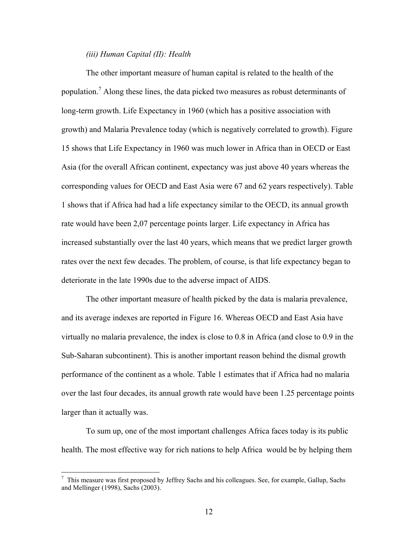## *(iii) Human Capital (II): Health*

The other important measure of human capital is related to the health of the population.<sup>7</sup> Along these lines, the data picked two measures as robust determinants of long-term growth. Life Expectancy in 1960 (which has a positive association with growth) and Malaria Prevalence today (which is negatively correlated to growth). Figure 15 shows that Life Expectancy in 1960 was much lower in Africa than in OECD or East Asia (for the overall African continent, expectancy was just above 40 years whereas the corresponding values for OECD and East Asia were 67 and 62 years respectively). Table 1 shows that if Africa had had a life expectancy similar to the OECD, its annual growth rate would have been 2,07 percentage points larger. Life expectancy in Africa has increased substantially over the last 40 years, which means that we predict larger growth rates over the next few decades. The problem, of course, is that life expectancy began to deteriorate in the late 1990s due to the adverse impact of AIDS.

The other important measure of health picked by the data is malaria prevalence, and its average indexes are reported in Figure 16. Whereas OECD and East Asia have virtually no malaria prevalence, the index is close to 0.8 in Africa (and close to 0.9 in the Sub-Saharan subcontinent). This is another important reason behind the dismal growth performance of the continent as a whole. Table 1 estimates that if Africa had no malaria over the last four decades, its annual growth rate would have been 1.25 percentage points larger than it actually was.

To sum up, one of the most important challenges Africa faces today is its public health. The most effective way for rich nations to help Africa would be by helping them

This measure was first proposed by Jeffrey Sachs and his colleagues. See, for example, Gallup, Sachs and Mellinger (1998), Sachs (2003).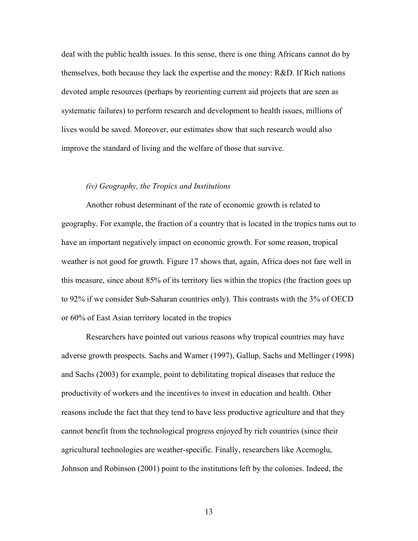deal with the public health issues. In this sense, there is one thing Africans cannot do by themselves, both because they lack the expertise and the money: R&D. If Rich nations devoted ample resources (perhaps by reorienting current aid projects that are seen as systematic failures) to perform research and development to health issues, millions of lives would be saved. Moreover, our estimates show that such research would also improve the standard of living and the welfare of those that survive.

#### *(iv) Geography, the Tropics and Institutions*

Another robust determinant of the rate of economic growth is related to geography. For example, the fraction of a country that is located in the tropics turns out to have an important negatively impact on economic growth. For some reason, tropical weather is not good for growth. Figure 17 shows that, again, Africa does not fare well in this measure, since about 85% of its territory lies within the tropics (the fraction goes up to 92% if we consider Sub-Saharan countries only). This contrasts with the 3% of OECD or 60% of East Asian territory located in the tropics

Researchers have pointed out various reasons why tropical countries may have adverse growth prospects. Sachs and Warner (1997), Gallup, Sachs and Mellinger (1998) and Sachs (2003) for example, point to debilitating tropical diseases that reduce the productivity of workers and the incentives to invest in education and health. Other reasons include the fact that they tend to have less productive agriculture and that they cannot benefit from the technological progress enjoyed by rich countries (since their agricultural technologies are weather-specific. Finally, researchers like Acemoglu, Johnson and Robinson (2001) point to the institutions left by the colonies. Indeed, the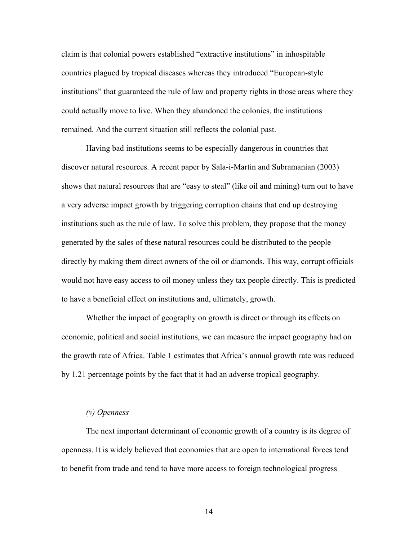claim is that colonial powers established "extractive institutions" in inhospitable countries plagued by tropical diseases whereas they introduced "European-style institutions" that guaranteed the rule of law and property rights in those areas where they could actually move to live. When they abandoned the colonies, the institutions remained. And the current situation still reflects the colonial past.

Having bad institutions seems to be especially dangerous in countries that discover natural resources. A recent paper by Sala-i-Martin and Subramanian (2003) shows that natural resources that are "easy to steal" (like oil and mining) turn out to have a very adverse impact growth by triggering corruption chains that end up destroying institutions such as the rule of law. To solve this problem, they propose that the money generated by the sales of these natural resources could be distributed to the people directly by making them direct owners of the oil or diamonds. This way, corrupt officials would not have easy access to oil money unless they tax people directly. This is predicted to have a beneficial effect on institutions and, ultimately, growth.

Whether the impact of geography on growth is direct or through its effects on economic, political and social institutions, we can measure the impact geography had on the growth rate of Africa. Table 1 estimates that Africa's annual growth rate was reduced by 1.21 percentage points by the fact that it had an adverse tropical geography.

#### *(v) Openness*

The next important determinant of economic growth of a country is its degree of openness. It is widely believed that economies that are open to international forces tend to benefit from trade and tend to have more access to foreign technological progress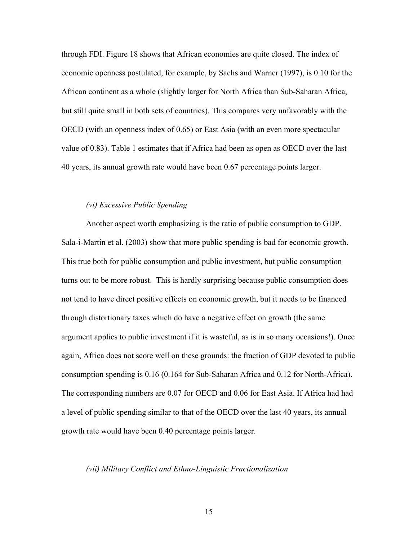through FDI. Figure 18 shows that African economies are quite closed. The index of economic openness postulated, for example, by Sachs and Warner (1997), is 0.10 for the African continent as a whole (slightly larger for North Africa than Sub-Saharan Africa, but still quite small in both sets of countries). This compares very unfavorably with the OECD (with an openness index of 0.65) or East Asia (with an even more spectacular value of 0.83). Table 1 estimates that if Africa had been as open as OECD over the last 40 years, its annual growth rate would have been 0.67 percentage points larger.

## *(vi) Excessive Public Spending*

Another aspect worth emphasizing is the ratio of public consumption to GDP. Sala-i-Martin et al. (2003) show that more public spending is bad for economic growth. This true both for public consumption and public investment, but public consumption turns out to be more robust. This is hardly surprising because public consumption does not tend to have direct positive effects on economic growth, but it needs to be financed through distortionary taxes which do have a negative effect on growth (the same argument applies to public investment if it is wasteful, as is in so many occasions!). Once again, Africa does not score well on these grounds: the fraction of GDP devoted to public consumption spending is 0.16 (0.164 for Sub-Saharan Africa and 0.12 for North-Africa). The corresponding numbers are 0.07 for OECD and 0.06 for East Asia. If Africa had had a level of public spending similar to that of the OECD over the last 40 years, its annual growth rate would have been 0.40 percentage points larger.

#### *(vii) Military Conflict and Ethno-Linguistic Fractionalization*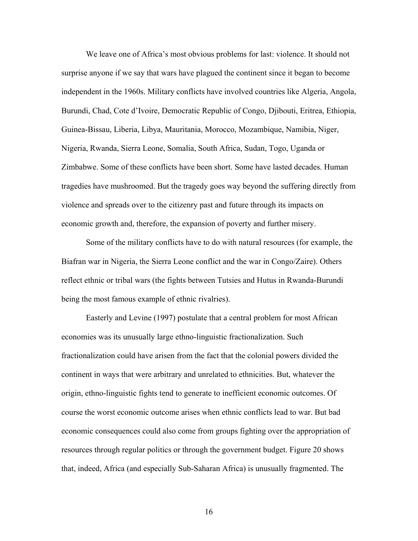We leave one of Africa's most obvious problems for last: violence. It should not surprise anyone if we say that wars have plagued the continent since it began to become independent in the 1960s. Military conflicts have involved countries like Algeria, Angola, Burundi, Chad, Cote d'Ivoire, Democratic Republic of Congo, Djibouti, Eritrea, Ethiopia, Guinea-Bissau, Liberia, Libya, Mauritania, Morocco, Mozambique, Namibia, Niger, Nigeria, Rwanda, Sierra Leone, Somalia, South Africa, Sudan, Togo, Uganda or Zimbabwe. Some of these conflicts have been short. Some have lasted decades. Human tragedies have mushroomed. But the tragedy goes way beyond the suffering directly from violence and spreads over to the citizenry past and future through its impacts on economic growth and, therefore, the expansion of poverty and further misery.

Some of the military conflicts have to do with natural resources (for example, the Biafran war in Nigeria, the Sierra Leone conflict and the war in Congo/Zaire). Others reflect ethnic or tribal wars (the fights between Tutsies and Hutus in Rwanda-Burundi being the most famous example of ethnic rivalries).

Easterly and Levine (1997) postulate that a central problem for most African economies was its unusually large ethno-linguistic fractionalization. Such fractionalization could have arisen from the fact that the colonial powers divided the continent in ways that were arbitrary and unrelated to ethnicities. But, whatever the origin, ethno-linguistic fights tend to generate to inefficient economic outcomes. Of course the worst economic outcome arises when ethnic conflicts lead to war. But bad economic consequences could also come from groups fighting over the appropriation of resources through regular politics or through the government budget. Figure 20 shows that, indeed, Africa (and especially Sub-Saharan Africa) is unusually fragmented. The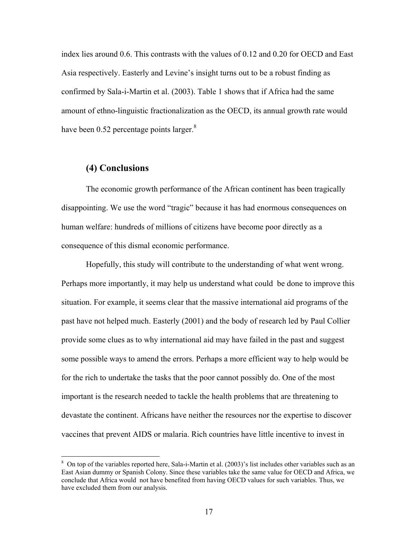index lies around 0.6. This contrasts with the values of 0.12 and 0.20 for OECD and East Asia respectively. Easterly and Levine's insight turns out to be a robust finding as confirmed by Sala-i-Martin et al. (2003). Table 1 shows that if Africa had the same amount of ethno-linguistic fractionalization as the OECD, its annual growth rate would have been 0.52 percentage points larger. $8$ 

## **(4) Conclusions**

1

The economic growth performance of the African continent has been tragically disappointing. We use the word "tragic" because it has had enormous consequences on human welfare: hundreds of millions of citizens have become poor directly as a consequence of this dismal economic performance.

Hopefully, this study will contribute to the understanding of what went wrong. Perhaps more importantly, it may help us understand what could be done to improve this situation. For example, it seems clear that the massive international aid programs of the past have not helped much. Easterly (2001) and the body of research led by Paul Collier provide some clues as to why international aid may have failed in the past and suggest some possible ways to amend the errors. Perhaps a more efficient way to help would be for the rich to undertake the tasks that the poor cannot possibly do. One of the most important is the research needed to tackle the health problems that are threatening to devastate the continent. Africans have neither the resources nor the expertise to discover vaccines that prevent AIDS or malaria. Rich countries have little incentive to invest in

<sup>&</sup>lt;sup>8</sup> On top of the variables reported here, Sala-i-Martin et al. (2003)'s list includes other variables such as an East Asian dummy or Spanish Colony. Since these variables take the same value for OECD and Africa, we conclude that Africa would not have benefited from having OECD values for such variables. Thus, we have excluded them from our analysis.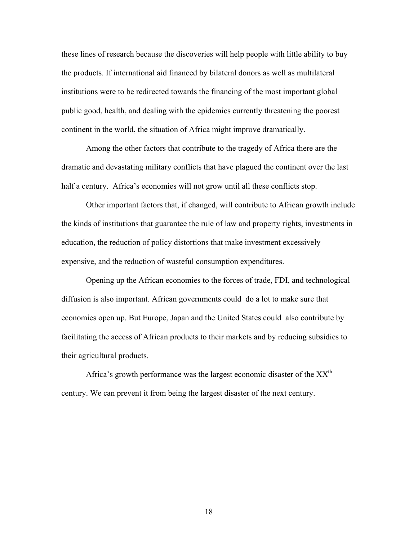these lines of research because the discoveries will help people with little ability to buy the products. If international aid financed by bilateral donors as well as multilateral institutions were to be redirected towards the financing of the most important global public good, health, and dealing with the epidemics currently threatening the poorest continent in the world, the situation of Africa might improve dramatically.

Among the other factors that contribute to the tragedy of Africa there are the dramatic and devastating military conflicts that have plagued the continent over the last half a century. Africa's economies will not grow until all these conflicts stop.

Other important factors that, if changed, will contribute to African growth include the kinds of institutions that guarantee the rule of law and property rights, investments in education, the reduction of policy distortions that make investment excessively expensive, and the reduction of wasteful consumption expenditures.

Opening up the African economies to the forces of trade, FDI, and technological diffusion is also important. African governments could do a lot to make sure that economies open up. But Europe, Japan and the United States could also contribute by facilitating the access of African products to their markets and by reducing subsidies to their agricultural products.

Africa's growth performance was the largest economic disaster of the  $XX<sup>th</sup>$ century. We can prevent it from being the largest disaster of the next century.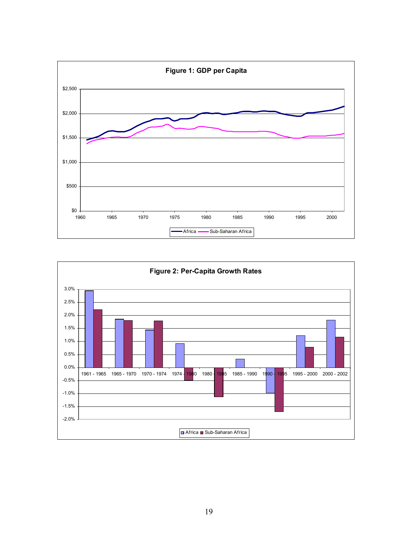

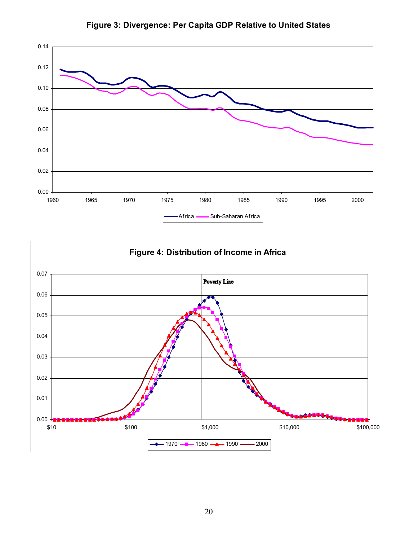

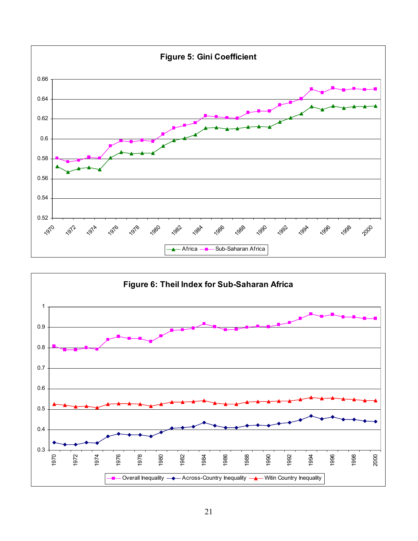

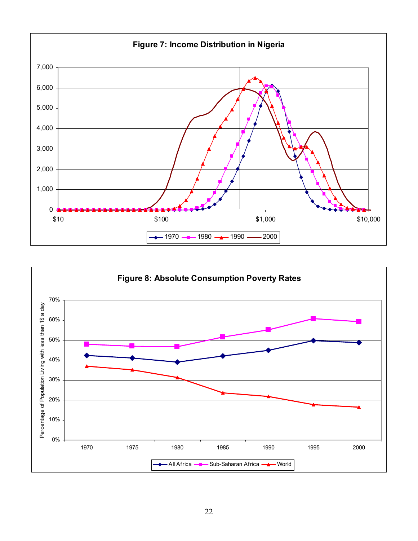

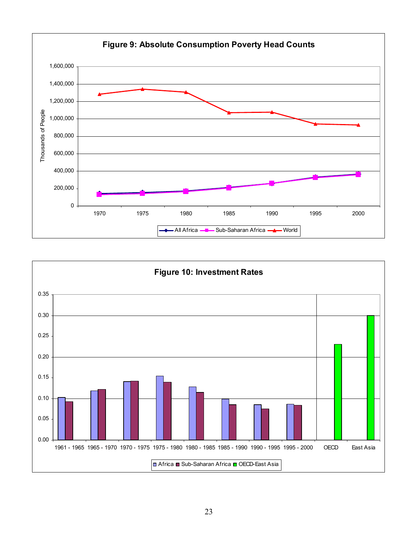

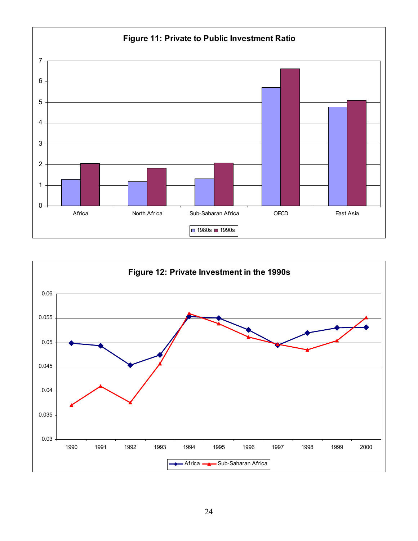

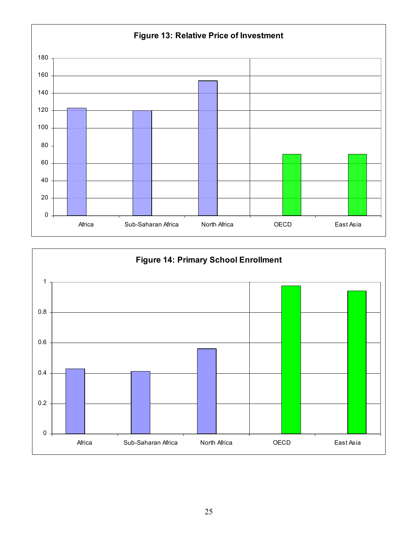

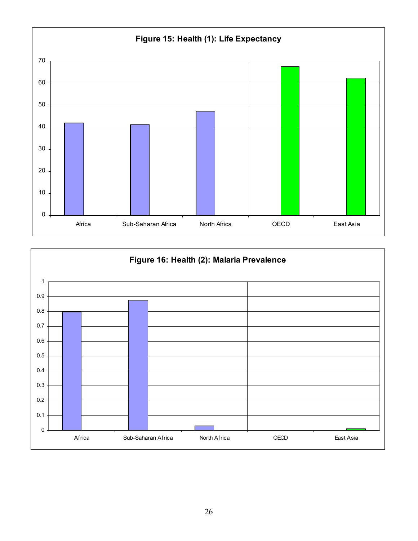

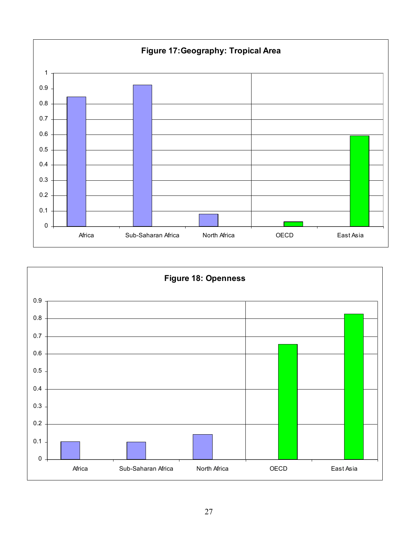

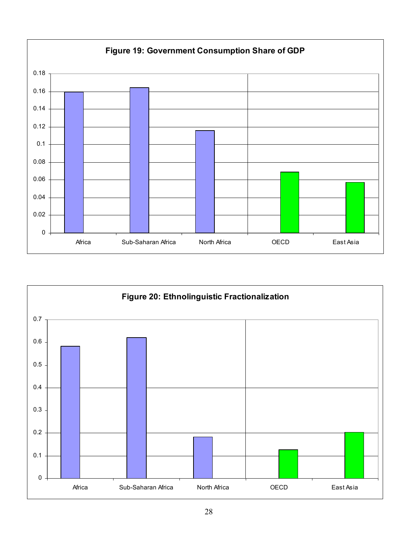

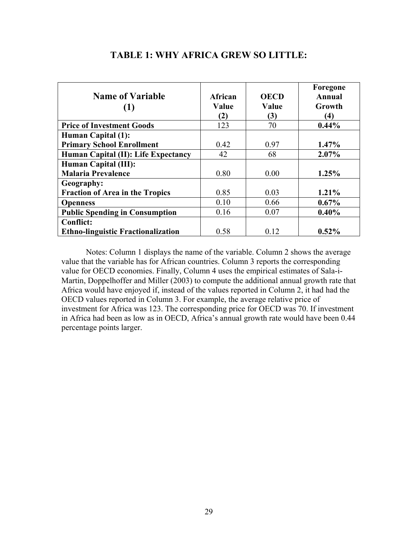| <b>Name of Variable</b>                   | <b>African</b> | <b>OECD</b> | Foregone<br><b>Annual</b> |
|-------------------------------------------|----------------|-------------|---------------------------|
|                                           | Value          | Value       | Growth                    |
|                                           | (2)            | (3)         | (4)                       |
| <b>Price of Investment Goods</b>          | 123            | 70          | $0.44\%$                  |
| <b>Human Capital (1):</b>                 |                |             |                           |
| <b>Primary School Enrollment</b>          | 0.42           | 0.97        | 1.47%                     |
| Human Capital (II): Life Expectancy       | 42             | 68          | 2.07%                     |
| Human Capital (III):                      |                |             |                           |
| <b>Malaria Prevalence</b>                 | 0.80           | 0.00        | 1.25%                     |
| Geography:                                |                |             |                           |
| <b>Fraction of Area in the Tropics</b>    | 0.85           | 0.03        | 1.21%                     |
| <b>Openness</b>                           | 0.10           | 0.66        | $0.67\%$                  |
| <b>Public Spending in Consumption</b>     | 0.16           | 0.07        | 0.40%                     |
| <b>Conflict:</b>                          |                |             |                           |
| <b>Ethno-linguistic Fractionalization</b> | 0.58           | 0.12        | $0.52\%$                  |

# **TABLE 1: WHY AFRICA GREW SO LITTLE:**

Notes: Column 1 displays the name of the variable. Column 2 shows the average value that the variable has for African countries. Column 3 reports the corresponding value for OECD economies. Finally, Column 4 uses the empirical estimates of Sala-i-Martin, Doppelhoffer and Miller (2003) to compute the additional annual growth rate that Africa would have enjoyed if, instead of the values reported in Column 2, it had had the OECD values reported in Column 3. For example, the average relative price of investment for Africa was 123. The corresponding price for OECD was 70. If investment in Africa had been as low as in OECD, Africa's annual growth rate would have been 0.44 percentage points larger.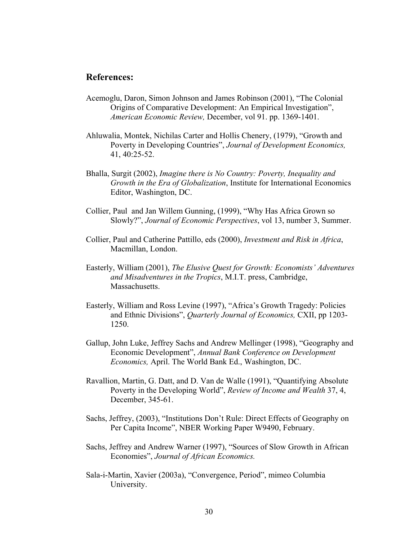# **References:**

- Acemoglu, Daron, Simon Johnson and James Robinson (2001), "The Colonial Origins of Comparative Development: An Empirical Investigation", *American Economic Review,* December, vol 91. pp. 1369-1401.
- Ahluwalia, Montek, Nichilas Carter and Hollis Chenery, (1979), "Growth and Poverty in Developing Countries", *Journal of Development Economics,*  41, 40:25-52.
- Bhalla, Surgit (2002), *Imagine there is No Country: Poverty, Inequality and Growth in the Era of Globalization*, Institute for International Economics Editor, Washington, DC.
- Collier, Paul and Jan Willem Gunning, (1999), "Why Has Africa Grown so Slowly?", *Journal of Economic Perspectives*, vol 13, number 3, Summer.
- Collier, Paul and Catherine Pattillo, eds (2000), *Investment and Risk in Africa*, Macmillan, London.
- Easterly, William (2001), *The Elusive Quest for Growth: Economists' Adventures and Misadventures in the Tropics*, M.I.T. press, Cambridge, Massachusetts.
- Easterly, William and Ross Levine (1997), "Africa's Growth Tragedy: Policies and Ethnic Divisions", *Quarterly Journal of Economics,* CXII, pp 1203- 1250.
- Gallup, John Luke, Jeffrey Sachs and Andrew Mellinger (1998), "Geography and Economic Development", *Annual Bank Conference on Development Economics,* April. The World Bank Ed., Washington, DC.
- Ravallion, Martin, G. Datt, and D. Van de Walle (1991), "Quantifying Absolute Poverty in the Developing World", *Review of Income and Wealth* 37, 4, December, 345-61.
- Sachs, Jeffrey, (2003), "Institutions Don't Rule: Direct Effects of Geography on Per Capita Income", NBER Working Paper W9490, February.
- Sachs, Jeffrey and Andrew Warner (1997), "Sources of Slow Growth in African Economies", *Journal of African Economics.*
- Sala-i-Martin, Xavier (2003a), "Convergence, Period", mimeo Columbia University.